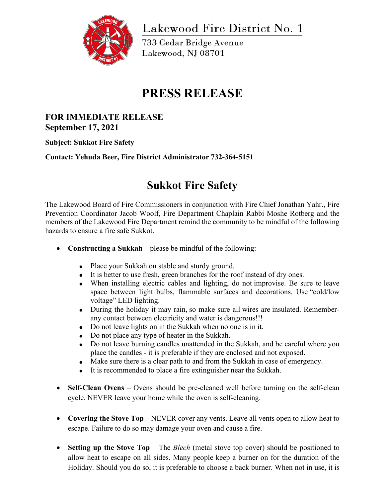

Lakewood Fire District No. 1

733 Cedar Bridge Avenue Lakewood, NJ 08701

# **PRESS RELEASE**

### **FOR IMMEDIATE RELEASE September 17, 2021**

**Subject: Sukkot Fire Safety**

**Contact: Yehuda Beer, Fire District Administrator 732-364-5151**

## **Sukkot Fire Safety**

The Lakewood Board of Fire Commissioners in conjunction with Fire Chief Jonathan Yahr., Fire Prevention Coordinator Jacob Woolf, Fire Department Chaplain Rabbi Moshe Rotberg and the members of the Lakewood Fire Department remind the community to be mindful of the following hazards to ensure a fire safe Sukkot.

- **Constructing a Sukkah** please be mindful of the following:
	- Place your Sukkah on stable and sturdy ground.
	- It is better to use fresh, green branches for the roof instead of dry ones.
	- When installing electric cables and lighting, do not improvise. Be sure to leave space between light bulbs, flammable surfaces and decorations. Use "cold/low voltage" LED lighting.
	- During the holiday it may rain, so make sure all wires are insulated. Rememberany contact between electricity and water is dangerous!!!
	- Do not leave lights on in the Sukkah when no one is in it.
	- Do not place any type of heater in the Sukkah.
	- Do not leave burning candles unattended in the Sukkah, and be careful where you place the candles - it is preferable if they are enclosed and not exposed.
	- Make sure there is a clear path to and from the Sukkah in case of emergency.
	- It is recommended to place a fire extinguisher near the Sukkah.
- **Self-Clean Ovens** Ovens should be pre-cleaned well before turning on the self-clean cycle. NEVER leave your home while the oven is self-cleaning.
- **Covering the Stove Top** NEVER cover any vents. Leave all vents open to allow heat to escape. Failure to do so may damage your oven and cause a fire.
- **Setting up the Stove Top** The *Blech* (metal stove top cover) should be positioned to allow heat to escape on all sides. Many people keep a burner on for the duration of the Holiday. Should you do so, it is preferable to choose a back burner. When not in use, it is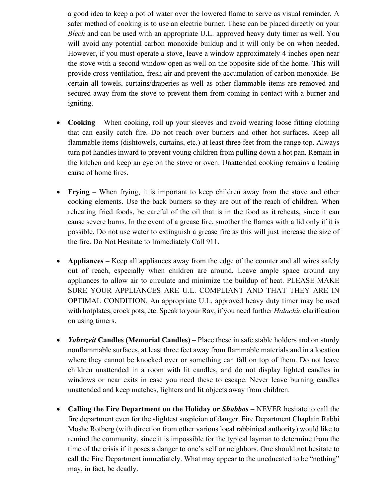a good idea to keep a pot of water over the lowered flame to serve as visual reminder. A safer method of cooking is to use an electric burner. These can be placed directly on your *Blech* and can be used with an appropriate U.L. approved heavy duty timer as well. You will avoid any potential carbon monoxide buildup and it will only be on when needed. However, if you must operate a stove, leave a window approximately 4 inches open near the stove with a second window open as well on the opposite side of the home. This will provide cross ventilation, fresh air and prevent the accumulation of carbon monoxide. Be certain all towels, curtains/draperies as well as other flammable items are removed and secured away from the stove to prevent them from coming in contact with a burner and igniting.

- **Cooking** When cooking, roll up your sleeves and avoid wearing loose fitting clothing that can easily catch fire. Do not reach over burners and other hot surfaces. Keep all flammable items (dishtowels, curtains, etc.) at least three feet from the range top. Always turn pot handles inward to prevent young children from pulling down a hot pan. Remain in the kitchen and keep an eye on the stove or oven. Unattended cooking remains a leading cause of home fires.
- **Frying** When frying, it is important to keep children away from the stove and other cooking elements. Use the back burners so they are out of the reach of children. When reheating fried foods, be careful of the oil that is in the food as it reheats, since it can cause severe burns. In the event of a grease fire, smother the flames with a lid only if it is possible. Do not use water to extinguish a grease fire as this will just increase the size of the fire. Do Not Hesitate to Immediately Call 911.
- **Appliances** Keep all appliances away from the edge of the counter and all wires safely out of reach, especially when children are around. Leave ample space around any appliances to allow air to circulate and minimize the buildup of heat. PLEASE MAKE SURE YOUR APPLIANCES ARE U.L. COMPLIANT AND THAT THEY ARE IN OPTIMAL CONDITION. An appropriate U.L. approved heavy duty timer may be used with hotplates, crock pots, etc. Speak to your Rav, if you need further *Halachic* clarification on using timers.
- *Yahrtzeit* **Candles (Memorial Candles)** Place these in safe stable holders and on sturdy nonflammable surfaces, at least three feet away from flammable materials and in a location where they cannot be knocked over or something can fall on top of them. Do not leave children unattended in a room with lit candles, and do not display lighted candles in windows or near exits in case you need these to escape. Never leave burning candles unattended and keep matches, lighters and lit objects away from children.
- **Calling the Fire Department on the Holiday or** *Shabbos* NEVER hesitate to call the fire department even for the slightest suspicion of danger. Fire Department Chaplain Rabbi Moshe Rotberg (with direction from other various local rabbinical authority) would like to remind the community, since it is impossible for the typical layman to determine from the time of the crisis if it poses a danger to one's self or neighbors. One should not hesitate to call the Fire Department immediately. What may appear to the uneducated to be "nothing" may, in fact, be deadly.